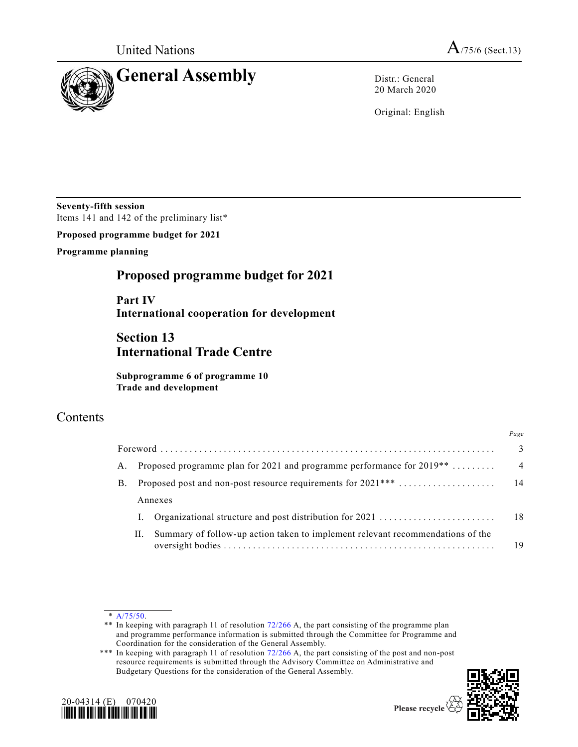United Nations  $A_{/75/6 \text{ (Sect.13)}}$ 



20 March 2020

Original: English

**Seventy-fifth session**  Items 141 and 142 of the preliminary list\*

**Proposed programme budget for 2021**

**Programme planning**

# **Proposed programme budget for 2021**

**Part IV International cooperation for development**

**Section 13 International Trade Centre**

**Subprogramme 6 of programme 10 Trade and development**

# Contents

|    |    |                                                                                      | Page           |
|----|----|--------------------------------------------------------------------------------------|----------------|
|    |    |                                                                                      | $\overline{3}$ |
|    |    | A. Proposed programme plan for 2021 and programme performance for 2019 <sup>**</sup> | $\overline{4}$ |
| B. |    | Proposed post and non-post resource requirements for 2021***                         | -14            |
|    |    | Annexes                                                                              |                |
|    |    |                                                                                      |                |
|    | П. | Summary of follow-up action taken to implement relevant recommendations of the       | 19             |

<sup>\*\*\*</sup> In keeping with paragraph 11 of resolution [72/266](https://undocs.org/en/A/RES/72/266) A, the part consisting of the post and non-post resource requirements is submitted through the Advisory Committee on Administrative and Budgetary Questions for the consideration of the General Assembly.





<sup>\*</sup> [A/75/50.](https://undocs.org/en/A/75/50)

<sup>\*\*</sup> In keeping with paragraph 11 of resolution [72/266](https://undocs.org/en/A/RES/72/266) A, the part consisting of the programme plan and programme performance information is submitted through the Committee for Programme and Coordination for the consideration of the General Assembly.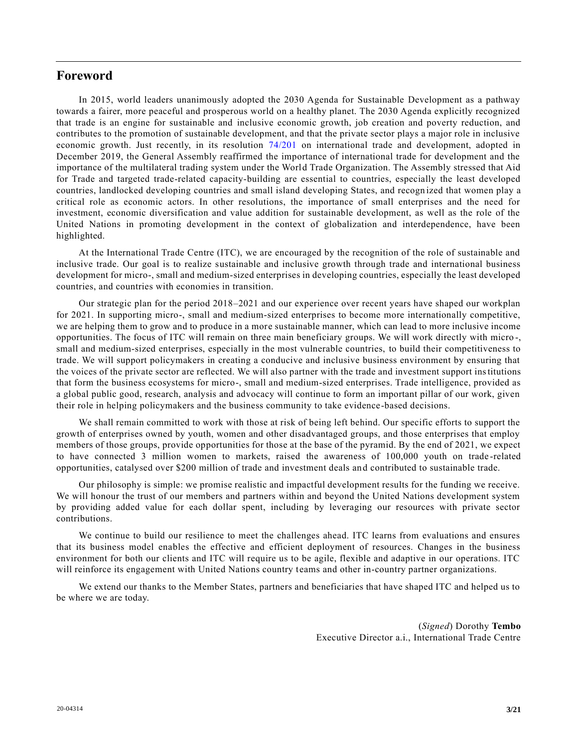# **Foreword**

In 2015, world leaders unanimously adopted the 2030 Agenda for Sustainable Development as a pathway towards a fairer, more peaceful and prosperous world on a healthy planet. The 2030 Agenda explicitly recognized that trade is an engine for sustainable and inclusive economic growth, job creation and poverty reduction, and contributes to the promotion of sustainable development, and that the private sector plays a major role in inclusive economic growth. Just recently, in its resolution [74/201](https://undocs.org/en/A/RES/74/201) on international trade and development, adopted in December 2019, the General Assembly reaffirmed the importance of international trade for development and the importance of the multilateral trading system under the World Trade Organization. The Assembly stressed that Aid for Trade and targeted trade-related capacity-building are essential to countries, especially the least developed countries, landlocked developing countries and small island developing States, and recogn ized that women play a critical role as economic actors. In other resolutions, the importance of small enterprises and the need for investment, economic diversification and value addition for sustainable development, as well as the role of the United Nations in promoting development in the context of globalization and interdependence, have been highlighted.

At the International Trade Centre (ITC), we are encouraged by the recognition of the role of sustainable and inclusive trade. Our goal is to realize sustainable and inclusive growth through trade and international business development for micro-, small and medium-sized enterprises in developing countries, especially the least developed countries, and countries with economies in transition.

Our strategic plan for the period 2018–2021 and our experience over recent years have shaped our workplan for 2021. In supporting micro-, small and medium-sized enterprises to become more internationally competitive, we are helping them to grow and to produce in a more sustainable manner, which can lead to more inclusive income opportunities. The focus of ITC will remain on three main beneficiary groups. We will work directly with micro -, small and medium-sized enterprises, especially in the most vulnerable countries, to build their competitiveness to trade. We will support policymakers in creating a conducive and inclusive business environment by ensuring that the voices of the private sector are reflected. We will also partner with the trade and investment support institutions that form the business ecosystems for micro-, small and medium-sized enterprises. Trade intelligence, provided as a global public good, research, analysis and advocacy will continue to form an important pillar of our work, given their role in helping policymakers and the business community to take evidence-based decisions.

We shall remain committed to work with those at risk of being left behind. Our specific efforts to support the growth of enterprises owned by youth, women and other disadvantaged groups, and those enterprises that employ members of those groups, provide opportunities for those at the base of the pyramid. By the end of 2021, we expect to have connected 3 million women to markets, raised the awareness of 100,000 youth on trade -related opportunities, catalysed over \$200 million of trade and investment deals and contributed to sustainable trade.

Our philosophy is simple: we promise realistic and impactful development results for the funding we receive. We will honour the trust of our members and partners within and beyond the United Nations development system by providing added value for each dollar spent, including by leveraging our resources with private sector contributions.

We continue to build our resilience to meet the challenges ahead. ITC learns from evaluations and ensures that its business model enables the effective and efficient deployment of resources. Changes in the business environment for both our clients and ITC will require us to be agile, flexible and adaptive in our operations. ITC will reinforce its engagement with United Nations country teams and other in-country partner organizations.

We extend our thanks to the Member States, partners and beneficiaries that have shaped ITC and helped us to be where we are today.

> (*Signed*) Dorothy **Tembo** Executive Director a.i., International Trade Centre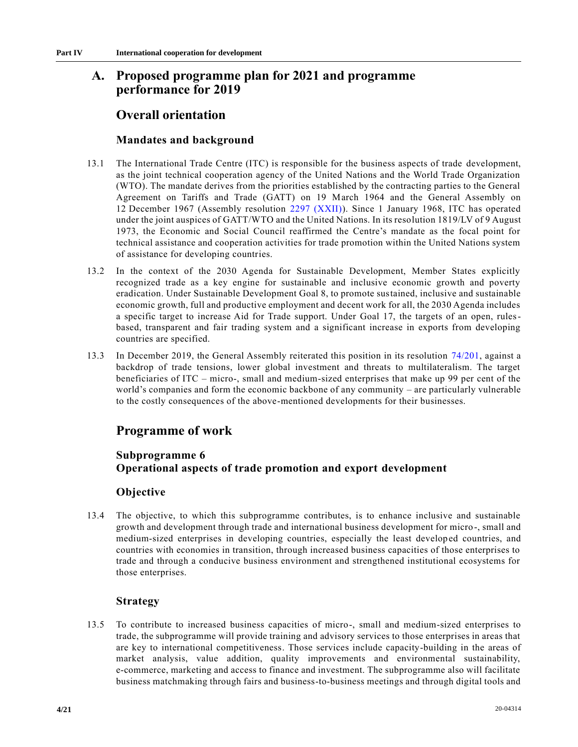# **A. Proposed programme plan for 2021 and programme performance for 2019**

# **Overall orientation**

# **Mandates and background**

- 13.1 The International Trade Centre (ITC) is responsible for the business aspects of trade development, as the joint technical cooperation agency of the United Nations and the World Trade Organization (WTO). The mandate derives from the priorities established by the contracting parties to the General Agreement on Tariffs and Trade (GATT) on 19 March 1964 and the General Assembly on 12 December 1967 (Assembly resolution [2297 \(XXII\)\)](https://undocs.org/en/A/RES/2297(XXII)). Since 1 January 1968, ITC has operated under the joint auspices of GATT/WTO and the United Nations. In its resolution 1819/LV of 9 August 1973, the Economic and Social Council reaffirmed the Centre's mandate as the focal point for technical assistance and cooperation activities for trade promotion within the United Nations system of assistance for developing countries.
- 13.2 In the context of the 2030 Agenda for Sustainable Development, Member States explicitly recognized trade as a key engine for sustainable and inclusive economic growth and poverty eradication. Under Sustainable Development Goal 8, to promote sustained, inclusive and sustainable economic growth, full and productive employment and decent work for all, the 2030 Agenda includes a specific target to increase Aid for Trade support. Under Goal 17, the targets of an open, rulesbased, transparent and fair trading system and a significant increase in exports from developing countries are specified.
- 13.3 In December 2019, the General Assembly reiterated this position in its resolution [74/201,](https://undocs.org/en/A/RES/74/201) against a backdrop of trade tensions, lower global investment and threats to multilateralism. The target beneficiaries of ITC – micro-, small and medium-sized enterprises that make up 99 per cent of the world's companies and form the economic backbone of any community – are particularly vulnerable to the costly consequences of the above-mentioned developments for their businesses.

# **Programme of work**

# **Subprogramme 6 Operational aspects of trade promotion and export development**

# **Objective**

13.4 The objective, to which this subprogramme contributes, is to enhance inclusive and sustainable growth and development through trade and international business development for micro-, small and medium-sized enterprises in developing countries, especially the least developed countries, and countries with economies in transition, through increased business capacities of those enterprises to trade and through a conducive business environment and strengthened institutional ecosystems for those enterprises.

# **Strategy**

13.5 To contribute to increased business capacities of micro-, small and medium-sized enterprises to trade, the subprogramme will provide training and advisory services to those enterprises in areas that are key to international competitiveness. Those services include capacity-building in the areas of market analysis, value addition, quality improvements and environmental sustainability, e-commerce, marketing and access to finance and investment. The subprogramme also will facilitate business matchmaking through fairs and business-to-business meetings and through digital tools and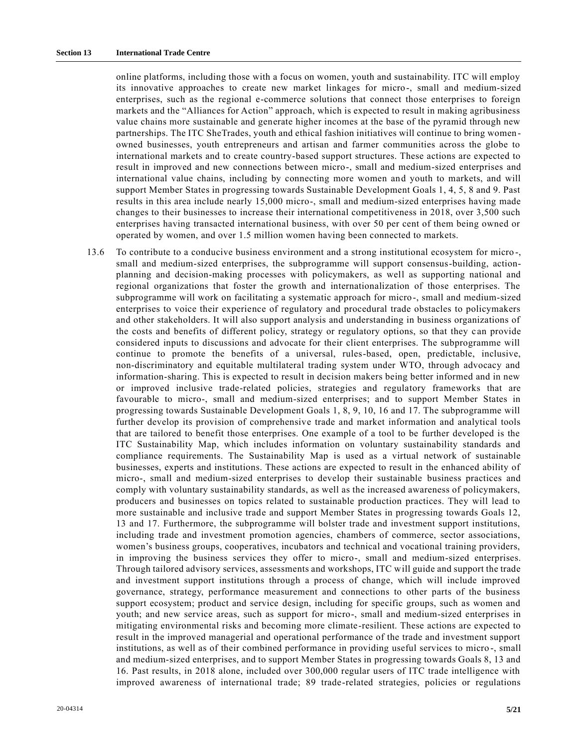online platforms, including those with a focus on women, youth and sustainability. ITC will employ its innovative approaches to create new market linkages for micro-, small and medium-sized enterprises, such as the regional e-commerce solutions that connect those enterprises to foreign markets and the "Alliances for Action" approach, which is expected to result in making agribusiness value chains more sustainable and generate higher incomes at the base of the pyramid through new partnerships. The ITC SheTrades, youth and ethical fashion initiatives will continue to bring women owned businesses, youth entrepreneurs and artisan and farmer communities across the globe to international markets and to create country-based support structures. These actions are expected to result in improved and new connections between micro-, small and medium-sized enterprises and international value chains, including by connecting more women and youth to markets, and will support Member States in progressing towards Sustainable Development Goals 1, 4, 5, 8 and 9. Past results in this area include nearly 15,000 micro-, small and medium-sized enterprises having made changes to their businesses to increase their international competitiveness in 2018, over 3,500 such enterprises having transacted international business, with over 50 per cent of them being owned or operated by women, and over 1.5 million women having been connected to markets.

13.6 To contribute to a conducive business environment and a strong institutional ecosystem for micro -, small and medium-sized enterprises, the subprogramme will support consensus-building, actionplanning and decision-making processes with policymakers, as well as supporting national and regional organizations that foster the growth and internationalization of those enterprises. The subprogramme will work on facilitating a systematic approach for micro-, small and medium-sized enterprises to voice their experience of regulatory and procedural trade obstacles to policymakers and other stakeholders. It will also support analysis and understanding in business organizations of the costs and benefits of different policy, strategy or regulatory options, so that they can provide considered inputs to discussions and advocate for their client enterprises. The subprogramme will continue to promote the benefits of a universal, rules-based, open, predictable, inclusive, non-discriminatory and equitable multilateral trading system under WTO, through advocacy and information-sharing. This is expected to result in decision makers being better informed and in new or improved inclusive trade-related policies, strategies and regulatory frameworks that are favourable to micro-, small and medium-sized enterprises; and to support Member States in progressing towards Sustainable Development Goals 1, 8, 9, 10, 16 and 17. The subprogramme will further develop its provision of comprehensive trade and market information and analytical tools that are tailored to benefit those enterprises. One example of a tool to be further developed is the ITC Sustainability Map, which includes information on voluntary sustainability standards and compliance requirements. The Sustainability Map is used as a virtual network of sustainable businesses, experts and institutions. These actions are expected to result in the enhanced ability of micro-, small and medium-sized enterprises to develop their sustainable business practices and comply with voluntary sustainability standards, as well as the increased awareness of policymakers, producers and businesses on topics related to sustainable production practices. They will lead to more sustainable and inclusive trade and support Member States in progressing towards Goals 12, 13 and 17. Furthermore, the subprogramme will bolster trade and investment support institutions, including trade and investment promotion agencies, chambers of commerce, sector associations, women's business groups, cooperatives, incubators and technical and vocational training providers, in improving the business services they offer to micro-, small and medium-sized enterprises. Through tailored advisory services, assessments and workshops, ITC will guide and support the trade and investment support institutions through a process of change, which will include improved governance, strategy, performance measurement and connections to other parts of the business support ecosystem; product and service design, including for specific groups, such as women and youth; and new service areas, such as support for micro-, small and medium-sized enterprises in mitigating environmental risks and becoming more climate-resilient. These actions are expected to result in the improved managerial and operational performance of the trade and investment support institutions, as well as of their combined performance in providing useful services to micro -, small and medium-sized enterprises, and to support Member States in progressing towards Goals 8, 13 and 16. Past results, in 2018 alone, included over 300,000 regular users of ITC trade intelligence with improved awareness of international trade; 89 trade-related strategies, policies or regulations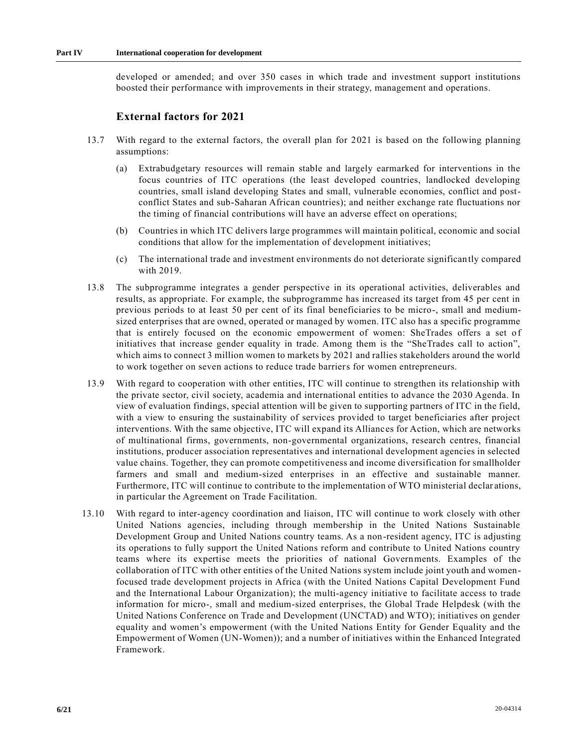developed or amended; and over 350 cases in which trade and investment support institutions boosted their performance with improvements in their strategy, management and operations.

# **External factors for 2021**

- 13.7 With regard to the external factors, the overall plan for 2021 is based on the following planning assumptions:
	- (a) Extrabudgetary resources will remain stable and largely earmarked for interventions in the focus countries of ITC operations (the least developed countries, landlocked developing countries, small island developing States and small, vulnerable economies, conflict and postconflict States and sub-Saharan African countries); and neither exchange rate fluctuations nor the timing of financial contributions will have an adverse effect on operations;
	- (b) Countries in which ITC delivers large programmes will maintain political, economic and social conditions that allow for the implementation of development initiatives;
	- (c) The international trade and investment environments do not deteriorate significantly compared with 2019.
- 13.8 The subprogramme integrates a gender perspective in its operational activities, deliverables and results, as appropriate. For example, the subprogramme has increased its target from 45 per cent in previous periods to at least 50 per cent of its final beneficiaries to be micro-, small and mediumsized enterprises that are owned, operated or managed by women. ITC also has a specific programme that is entirely focused on the economic empowerment of women: SheTrades offers a set o f initiatives that increase gender equality in trade. Among them is the "SheTrades call to action", which aims to connect 3 million women to markets by 2021 and rallies stakeholders around the world to work together on seven actions to reduce trade barriers for women entrepreneurs.
- 13.9 With regard to cooperation with other entities, ITC will continue to strengthen its relationship with the private sector, civil society, academia and international entities to advance the 2030 Agenda. In view of evaluation findings, special attention will be given to supporting partners of ITC in the field, with a view to ensuring the sustainability of services provided to target beneficiaries after project interventions. With the same objective, ITC will expand its Alliances for Action, which are networks of multinational firms, governments, non-governmental organizations, research centres, financial institutions, producer association representatives and international development agencies in selected value chains. Together, they can promote competitiveness and income diversification for smallholder farmers and small and medium-sized enterprises in an effective and sustainable manner. Furthermore, ITC will continue to contribute to the implementation of WTO ministerial declar ations, in particular the Agreement on Trade Facilitation.
- 13.10 With regard to inter-agency coordination and liaison, ITC will continue to work closely with other United Nations agencies, including through membership in the United Nations Sustainable Development Group and United Nations country teams. As a non-resident agency, ITC is adjusting its operations to fully support the United Nations reform and contribute to United Nations country teams where its expertise meets the priorities of national Governments. Examples of the collaboration of ITC with other entities of the United Nations system include joint youth and womenfocused trade development projects in Africa (with the United Nations Capital Development Fund and the International Labour Organization); the multi-agency initiative to facilitate access to trade information for micro-, small and medium-sized enterprises, the Global Trade Helpdesk (with the United Nations Conference on Trade and Development (UNCTAD) and WTO); initiatives on gender equality and women's empowerment (with the United Nations Entity for Gender Equality and the Empowerment of Women (UN-Women)); and a number of initiatives within the Enhanced Integrated Framework.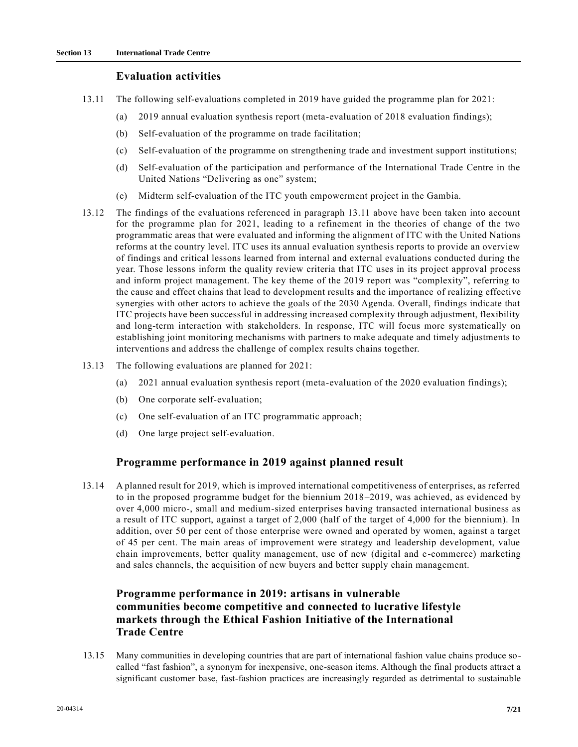# **Evaluation activities**

- 13.11 The following self-evaluations completed in 2019 have guided the programme plan for 2021:
	- (a) 2019 annual evaluation synthesis report (meta-evaluation of 2018 evaluation findings);
	- (b) Self-evaluation of the programme on trade facilitation;
	- (c) Self-evaluation of the programme on strengthening trade and investment support institutions;
	- (d) Self-evaluation of the participation and performance of the International Trade Centre in the United Nations "Delivering as one" system;
	- (e) Midterm self-evaluation of the ITC youth empowerment project in the Gambia.
- 13.12 The findings of the evaluations referenced in paragraph 13.11 above have been taken into account for the programme plan for 2021, leading to a refinement in the theories of change of the two programmatic areas that were evaluated and informing the alignment of ITC with the United Nations reforms at the country level. ITC uses its annual evaluation synthesis reports to provide an overview of findings and critical lessons learned from internal and external evaluations conducted during the year. Those lessons inform the quality review criteria that ITC uses in its project approval process and inform project management. The key theme of the 2019 report was "complexity", referring to the cause and effect chains that lead to development results and the importance of realizing effective synergies with other actors to achieve the goals of the 2030 Agenda. Overall, findings indicate that ITC projects have been successful in addressing increased complexity through adjustment, flexibility and long-term interaction with stakeholders. In response, ITC will focus more systematically on establishing joint monitoring mechanisms with partners to make adequate and timely adjustments to interventions and address the challenge of complex results chains together.
- 13.13 The following evaluations are planned for 2021:
	- (a) 2021 annual evaluation synthesis report (meta-evaluation of the 2020 evaluation findings);
	- (b) One corporate self-evaluation;
	- (c) One self-evaluation of an ITC programmatic approach;
	- (d) One large project self-evaluation.

# **Programme performance in 2019 against planned result**

13.14 A planned result for 2019, which is improved international competitiveness of enterprises, as referred to in the proposed programme budget for the biennium 2018–2019, was achieved, as evidenced by over 4,000 micro-, small and medium-sized enterprises having transacted international business as a result of ITC support, against a target of 2,000 (half of the target of 4,000 for the biennium). In addition, over 50 per cent of those enterprise were owned and operated by women, against a target of 45 per cent. The main areas of improvement were strategy and leadership development, value chain improvements, better quality management, use of new (digital and e-commerce) marketing and sales channels, the acquisition of new buyers and better supply chain management.

# **Programme performance in 2019: artisans in vulnerable communities become competitive and connected to lucrative lifestyle markets through the Ethical Fashion Initiative of the International Trade Centre**

13.15 Many communities in developing countries that are part of international fashion value chains produce socalled "fast fashion", a synonym for inexpensive, one-season items. Although the final products attract a significant customer base, fast-fashion practices are increasingly regarded as detrimental to sustainable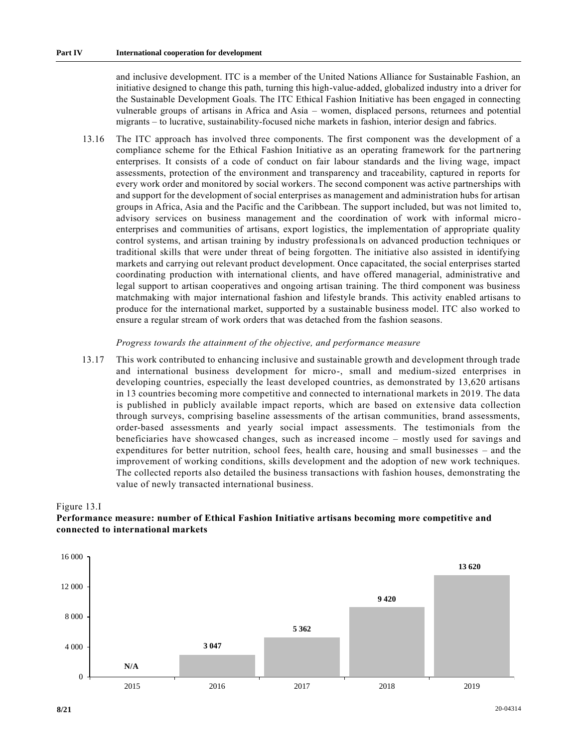and inclusive development. ITC is a member of the United Nations Alliance for Sustainable Fashion, an initiative designed to change this path, turning this high-value-added, globalized industry into a driver for the Sustainable Development Goals. The ITC Ethical Fashion Initiative has been engaged in connecting vulnerable groups of artisans in Africa and Asia – women, displaced persons, returnees and potential migrants – to lucrative, sustainability-focused niche markets in fashion, interior design and fabrics.

13.16 The ITC approach has involved three components. The first component was the development of a compliance scheme for the Ethical Fashion Initiative as an operating framework for the partnering enterprises. It consists of a code of conduct on fair labour standards and the living wage, impact assessments, protection of the environment and transparency and traceability, captured in reports for every work order and monitored by social workers. The second component was active partnerships with and support for the development of social enterprises as management and administration hubs for artisan groups in Africa, Asia and the Pacific and the Caribbean. The support included, but was not limited to, advisory services on business management and the coordination of work with informal microenterprises and communities of artisans, export logistics, the implementation of appropriate quality control systems, and artisan training by industry professionals on advanced production techniques or traditional skills that were under threat of being forgotten. The initiative also assisted in identifying markets and carrying out relevant product development. Once capacitated, the social enterprises started coordinating production with international clients, and have offered managerial, administrative and legal support to artisan cooperatives and ongoing artisan training. The third component was business matchmaking with major international fashion and lifestyle brands. This activity enabled artisans to produce for the international market, supported by a sustainable business model. ITC also worked to ensure a regular stream of work orders that was detached from the fashion seasons.

### *Progress towards the attainment of the objective, and performance measure*

13.17 This work contributed to enhancing inclusive and sustainable growth and development through trade and international business development for micro-, small and medium-sized enterprises in developing countries, especially the least developed countries, as demonstrated by 13,620 artisans in 13 countries becoming more competitive and connected to international markets in 2019. The data is published in publicly available impact reports, which are based on extensive data collection through surveys, comprising baseline assessments of the artisan communities, brand assessments, order-based assessments and yearly social impact assessments. The testimonials from the beneficiaries have showcased changes, such as increased income – mostly used for savings and expenditures for better nutrition, school fees, health care, housing and small businesses – and the improvement of working conditions, skills development and the adoption of new work techniques. The collected reports also detailed the business transactions with fashion houses, demonstrating the value of newly transacted international business.

### Figure 13.I



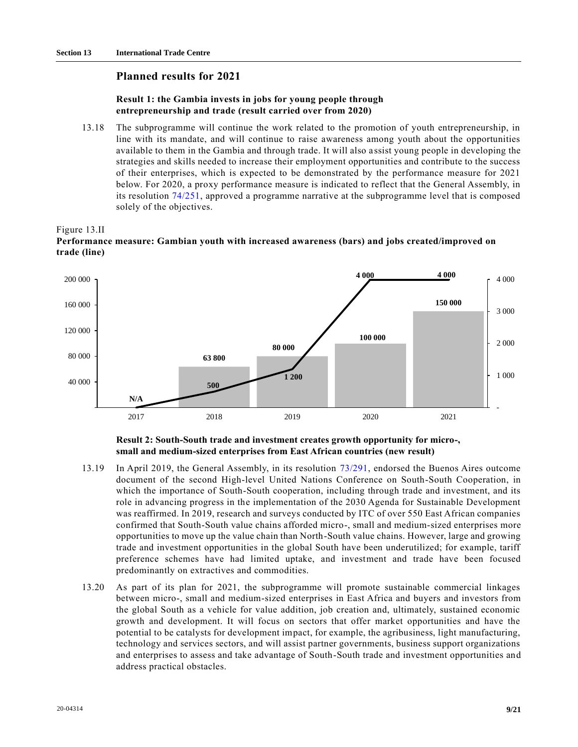## **Planned results for 2021**

### **Result 1: the Gambia invests in jobs for young people through entrepreneurship and trade (result carried over from 2020)**

13.18 The subprogramme will continue the work related to the promotion of youth entrepreneurship, in line with its mandate, and will continue to raise awareness among youth about the opportunities available to them in the Gambia and through trade. It will also a ssist young people in developing the strategies and skills needed to increase their employment opportunities and contribute to the success of their enterprises, which is expected to be demonstrated by the performance measure for 2021 below. For 2020, a proxy performance measure is indicated to reflect that the General Assembly, in its resolution [74/251,](https://undocs.org/en/A/RES/74/251) approved a programme narrative at the subprogramme level that is composed solely of the objectives.





**Result 2: South-South trade and investment creates growth opportunity for micro-, small and medium-sized enterprises from East African countries (new result)**

- 13.19 In April 2019, the General Assembly, in its resolution [73/291,](https://undocs.org/en/A/RES/73/291) endorsed the Buenos Aires outcome document of the second High-level United Nations Conference on South-South Cooperation, in which the importance of South-South cooperation, including through trade and investment, and its role in advancing progress in the implementation of the 2030 Agenda for Sustainable Development was reaffirmed. In 2019, research and surveys conducted by ITC of over 550 East African companies confirmed that South-South value chains afforded micro-, small and medium-sized enterprises more opportunities to move up the value chain than North-South value chains. However, large and growing trade and investment opportunities in the global South have been underutilized; for example, tariff preference schemes have had limited uptake, and investment and trade have been focused predominantly on extractives and commodities.
- 13.20 As part of its plan for 2021, the subprogramme will promote sustainable commercial linkages between micro-, small and medium-sized enterprises in East Africa and buyers and investors from the global South as a vehicle for value addition, job creation and, ultimately, sustained economic growth and development. It will focus on sectors that offer market opportunities and have the potential to be catalysts for development impact, for example, the agribusiness, light manufacturing, technology and services sectors, and will assist partner governments, business support organizations and enterprises to assess and take advantage of South-South trade and investment opportunities and address practical obstacles.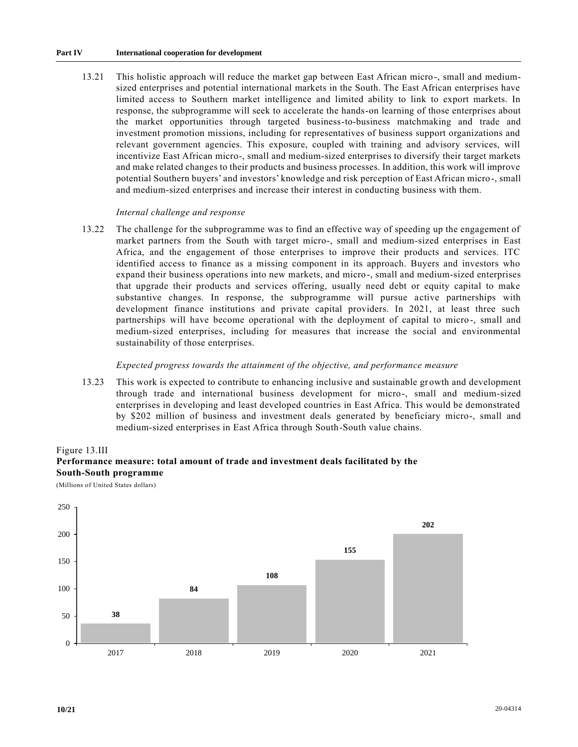### **Part IV International cooperation for development**

13.21 This holistic approach will reduce the market gap between East African micro-, small and mediumsized enterprises and potential international markets in the South. The East African enterprises have limited access to Southern market intelligence and limited ability to link to export markets. In response, the subprogramme will seek to accelerate the hands-on learning of those enterprises about the market opportunities through targeted business-to-business matchmaking and trade and investment promotion missions, including for representatives of business support organizations and relevant government agencies. This exposure, coupled with training and advisory services, will incentivize East African micro-, small and medium-sized enterprises to diversify their target markets and make related changes to their products and business processes. In addition, this work will improve potential Southern buyers' and investors' knowledge and risk perception of East African micro-, small and medium-sized enterprises and increase their interest in conducting business with them.

## *Internal challenge and response*

13.22 The challenge for the subprogramme was to find an effective way of speeding up the engagement of market partners from the South with target micro-, small and medium-sized enterprises in East Africa, and the engagement of those enterprises to improve their products and services. ITC identified access to finance as a missing component in its approach. Buyers and investors who expand their business operations into new markets, and micro-, small and medium-sized enterprises that upgrade their products and services offering, usually need debt or equity capital to make substantive changes. In response, the subprogramme will pursue active partnerships with development finance institutions and private capital providers. In 2021, at least three such partnerships will have become operational with the deployment of capital to micro-, small and medium-sized enterprises, including for measures that increase the social and environmental sustainability of those enterprises.

## *Expected progress towards the attainment of the objective, and performance measure*

13.23 This work is expected to contribute to enhancing inclusive and sustainable growth and development through trade and international business development for micro-, small and medium-sized enterprises in developing and least developed countries in East Africa. This would be demonstrated by \$202 million of business and investment deals generated by beneficiary micro-, small and medium-sized enterprises in East Africa through South-South value chains.

### Figure 13.III

# **Performance measure: total amount of trade and investment deals facilitated by the South-South programme**

(Millions of United States dollars)

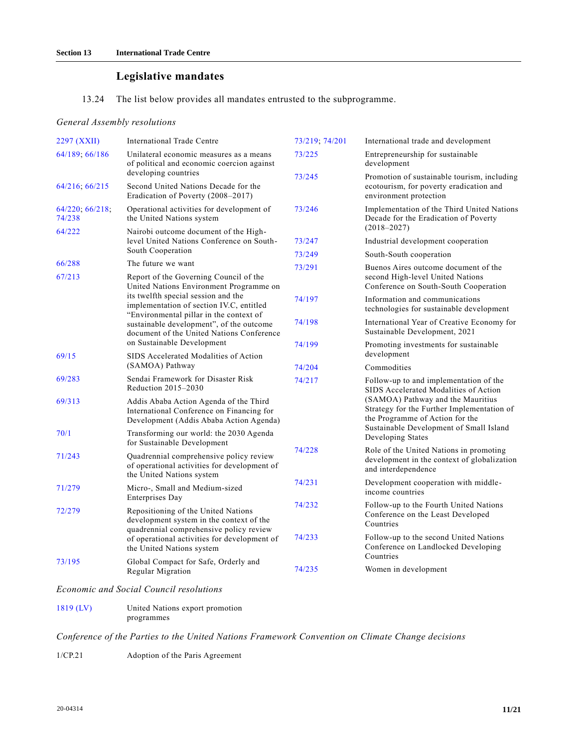# **Legislative mandates**

13.24 The list below provides all mandates entrusted to the subprogramme.

## *General Assembly resolutions*

| 2297 (XXII)               | <b>International Trade Centre</b>                                                                                              | 73/219, 74/201 | International trade and development                                                                                |  |  |
|---------------------------|--------------------------------------------------------------------------------------------------------------------------------|----------------|--------------------------------------------------------------------------------------------------------------------|--|--|
| 64/189, 66/186            | Unilateral economic measures as a means<br>of political and economic coercion against                                          | 73/225         | Entrepreneurship for sustainable<br>development                                                                    |  |  |
| 64/216: 66/215            | developing countries<br>Second United Nations Decade for the<br>Eradication of Poverty (2008-2017)                             | 73/245         | Promotion of sustainable tourism, including<br>ecotourism, for poverty eradication and<br>environment protection   |  |  |
| 64/220, 66/218;<br>74/238 | Operational activities for development of<br>the United Nations system                                                         | 73/246         | Implementation of the Third United Nations<br>Decade for the Eradication of Poverty                                |  |  |
| 64/222                    | Nairobi outcome document of the High-<br>level United Nations Conference on South-                                             | 73/247         | $(2018 - 2027)$<br>Industrial development cooperation                                                              |  |  |
|                           | South Cooperation                                                                                                              | 73/249         | South-South cooperation                                                                                            |  |  |
| 66/288<br>67/213          | The future we want<br>Report of the Governing Council of the<br>United Nations Environment Programme on                        | 73/291         | Buenos Aires outcome document of the<br>second High-level United Nations<br>Conference on South-South Cooperation  |  |  |
|                           | its twelfth special session and the<br>implementation of section IV.C, entitled<br>"Environmental pillar in the context of     | 74/197         | Information and communications<br>technologies for sustainable development                                         |  |  |
|                           | sustainable development", of the outcome<br>document of the United Nations Conference                                          | 74/198         | International Year of Creative Economy for<br>Sustainable Development, 2021                                        |  |  |
| 69/15                     | on Sustainable Development<br>SIDS Accelerated Modalities of Action                                                            | 74/199         | Promoting investments for sustainable<br>development                                                               |  |  |
|                           | (SAMOA) Pathway                                                                                                                | 74/204         | Commodities                                                                                                        |  |  |
| 69/283                    | Sendai Framework for Disaster Risk<br>Reduction 2015-2030                                                                      | 74/217         | Follow-up to and implementation of the<br>SIDS Accelerated Modalities of Action                                    |  |  |
| 69/313                    | Addis Ababa Action Agenda of the Third<br>International Conference on Financing for<br>Development (Addis Ababa Action Agenda) |                | (SAMOA) Pathway and the Mauritius<br>Strategy for the Further Implementation of<br>the Programme of Action for the |  |  |
| 70/1                      | Transforming our world: the 2030 Agenda<br>for Sustainable Development                                                         |                | Sustainable Development of Small Island<br>Developing States                                                       |  |  |
| 71/243                    | Quadrennial comprehensive policy review<br>of operational activities for development of<br>the United Nations system           | 74/228         | Role of the United Nations in promoting<br>development in the context of globalization<br>and interdependence      |  |  |
| 71/279                    | Micro-, Small and Medium-sized<br>Enterprises Day                                                                              | 74/231         | Development cooperation with middle-<br>income countries                                                           |  |  |
| 72/279                    | Repositioning of the United Nations<br>development system in the context of the<br>quadrennial comprehensive policy review     | 74/232         | Follow-up to the Fourth United Nations<br>Conference on the Least Developed<br>Countries                           |  |  |
|                           | of operational activities for development of<br>the United Nations system                                                      | 74/233         | Follow-up to the second United Nations<br>Conference on Landlocked Developing<br>Countries                         |  |  |
| 73/195                    | Global Compact for Safe, Orderly and<br>Regular Migration                                                                      | 74/235         | Women in development                                                                                               |  |  |

## *Economic and Social Council resolutions*

[1819 \(LV\)](https://undocs.org/en/e/RES/1819(LV)) United Nations export promotion programmes

*Conference of the Parties to the United Nations Framework Convention on Climate Change decisions* 

1/CP.21 Adoption of the Paris Agreement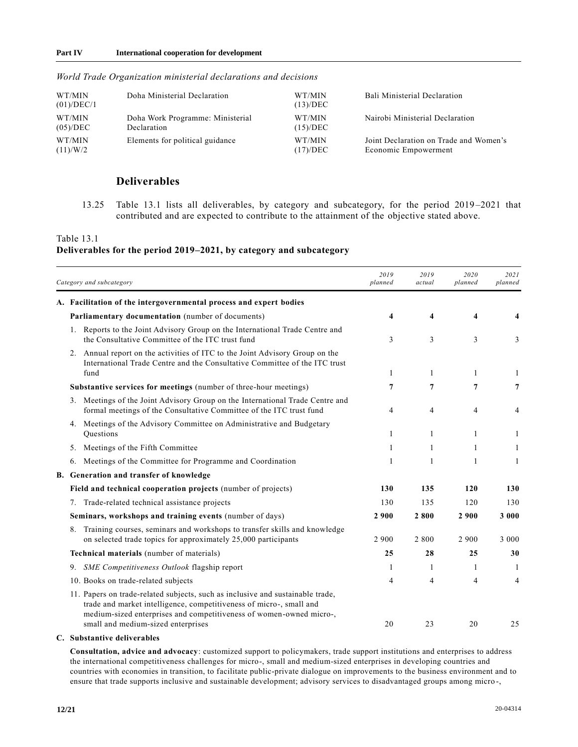## **Part IV International cooperation for development**

| WT/MIN<br>(01)/DEC/1 | Doha Ministerial Declaration     | WT/MIN<br>(13)/DEC   | Bali Ministerial Declaration           |
|----------------------|----------------------------------|----------------------|----------------------------------------|
| WT/MIN               | Doha Work Programme: Ministerial | WT/MIN               | Nairobi Ministerial Declaration        |
| (05)/DEC             | Declaration                      | (15)/DEC             |                                        |
| WT/MIN               | Elements for political guidance  | WT/MIN               | Joint Declaration on Trade and Women's |
| (11)/W/2             |                                  | (17)/ <sub>DEC</sub> | Economic Empowerment                   |

*World Trade Organization ministerial declarations and decisions*

# **Deliverables**

13.25 Table 13.1 lists all deliverables, by category and subcategory, for the period 2019 –2021 that contributed and are expected to contribute to the attainment of the objective stated above.

### Table 13.1

### **Deliverables for the period 2019–2021, by category and subcategory**

| Category and subcategory                                                                                                                                                                                                                                           | 2019<br>planned | 2019<br>actual | 2020<br>planned | 2021<br>planned |
|--------------------------------------------------------------------------------------------------------------------------------------------------------------------------------------------------------------------------------------------------------------------|-----------------|----------------|-----------------|-----------------|
| A. Facilitation of the intergovernmental process and expert bodies                                                                                                                                                                                                 |                 |                |                 |                 |
| Parliamentary documentation (number of documents)                                                                                                                                                                                                                  | 4               | 4              | 4               | 4               |
| Reports to the Joint Advisory Group on the International Trade Centre and<br>1.<br>the Consultative Committee of the ITC trust fund                                                                                                                                | 3               | 3              | 3               | 3               |
| 2. Annual report on the activities of ITC to the Joint Advisory Group on the<br>International Trade Centre and the Consultative Committee of the ITC trust<br>fund                                                                                                 | 1               | 1              | 1               | 1               |
| Substantive services for meetings (number of three-hour meetings)                                                                                                                                                                                                  | 7               | 7              | 7               | $\overline{7}$  |
| Meetings of the Joint Advisory Group on the International Trade Centre and<br>3.<br>formal meetings of the Consultative Committee of the ITC trust fund                                                                                                            | 4               | 4              | 4               | 4               |
| Meetings of the Advisory Committee on Administrative and Budgetary<br>4.<br><b>Questions</b>                                                                                                                                                                       | 1               | 1              | 1               | 1               |
| Meetings of the Fifth Committee<br>5.                                                                                                                                                                                                                              | 1               | 1              | 1               | 1               |
| Meetings of the Committee for Programme and Coordination<br>6.                                                                                                                                                                                                     | 1               | 1              | 1               | 1               |
| B. Generation and transfer of knowledge                                                                                                                                                                                                                            |                 |                |                 |                 |
| Field and technical cooperation projects (number of projects)                                                                                                                                                                                                      | 130             | 135            | 120             | 130             |
| Trade-related technical assistance projects<br>7.                                                                                                                                                                                                                  | 130             | 135            | 120             | 130             |
| Seminars, workshops and training events (number of days)                                                                                                                                                                                                           | 2 9 0 0         | 2800           | 2 9 0 0         | 3 0 0 0         |
| Training courses, seminars and workshops to transfer skills and knowledge<br>8.<br>on selected trade topics for approximately 25,000 participants                                                                                                                  | 2 900           | 2 800          | 2 900           | 3 000           |
| Technical materials (number of materials)                                                                                                                                                                                                                          | 25              | 28             | 25              | 30              |
| SME Competitiveness Outlook flagship report<br>9.                                                                                                                                                                                                                  | 1               | 1              | 1               | -1              |
| 10. Books on trade-related subjects                                                                                                                                                                                                                                | 4               | 4              | 4               | 4               |
| 11. Papers on trade-related subjects, such as inclusive and sustainable trade,<br>trade and market intelligence, competitiveness of micro-, small and<br>medium-sized enterprises and competitiveness of women-owned micro-,<br>small and medium-sized enterprises | 20              | 23             | 20              | 25              |

#### **C. Substantive deliverables**

**Consultation, advice and advocacy**: customized support to policymakers, trade support institutions and enterprises to address the international competitiveness challenges for micro-, small and medium-sized enterprises in developing countries and countries with economies in transition, to facilitate public-private dialogue on improvements to the business environment and to ensure that trade supports inclusive and sustainable development; advisory services to disadvantaged groups among micro -,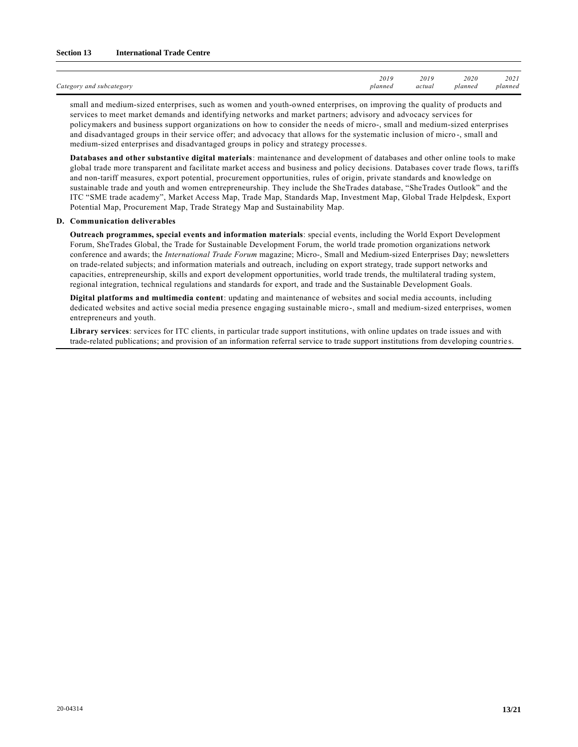### **Section 13 International Trade Centre**

|                                    | 2019    | 2019<br>$   -$ | 2020    | 2021    |
|------------------------------------|---------|----------------|---------|---------|
| $\sim$<br>Category and subcategory | planned | actual         | vlannea | planned |

small and medium-sized enterprises, such as women and youth-owned enterprises, on improving the quality of products and services to meet market demands and identifying networks and market partners; advisory and advocacy services for policymakers and business support organizations on how to consider the needs of micro-, small and medium-sized enterprises and disadvantaged groups in their service offer; and advocacy that allows for the systematic inclusion of micro -, small and medium-sized enterprises and disadvantaged groups in policy and strategy processes.

**Databases and other substantive digital materials**: maintenance and development of databases and other online tools to make global trade more transparent and facilitate market access and business and policy decisions. Databases cover trade flows, ta riffs and non-tariff measures, export potential, procurement opportunities, rules of origin, private standards and knowledge on sustainable trade and youth and women entrepreneurship. They include the SheTrades database, "SheTrades Outlook" and the ITC "SME trade academy", Market Access Map, Trade Map, Standards Map, Investment Map, Global Trade Helpdesk, Export Potential Map, Procurement Map, Trade Strategy Map and Sustainability Map.

#### **D. Communication deliverables**

**Outreach programmes, special events and information materials**: special events, including the World Export Development Forum, SheTrades Global, the Trade for Sustainable Development Forum, the world trade promotion organizations network conference and awards; the *International Trade Forum* magazine; Micro-, Small and Medium-sized Enterprises Day; newsletters on trade-related subjects; and information materials and outreach, including on export strategy, trade support networks and capacities, entrepreneurship, skills and export development opportunities, world trade trends, the multilateral trading system, regional integration, technical regulations and standards for export, and trade and the Sustainable Development Goals.

**Digital platforms and multimedia content**: updating and maintenance of websites and social media accounts, including dedicated websites and active social media presence engaging sustainable micro-, small and medium-sized enterprises, women entrepreneurs and youth.

**Library services**: services for ITC clients, in particular trade support institutions, with online updates on trade issues and with trade-related publications; and provision of an information referral service to trade support institutions from developing countrie s.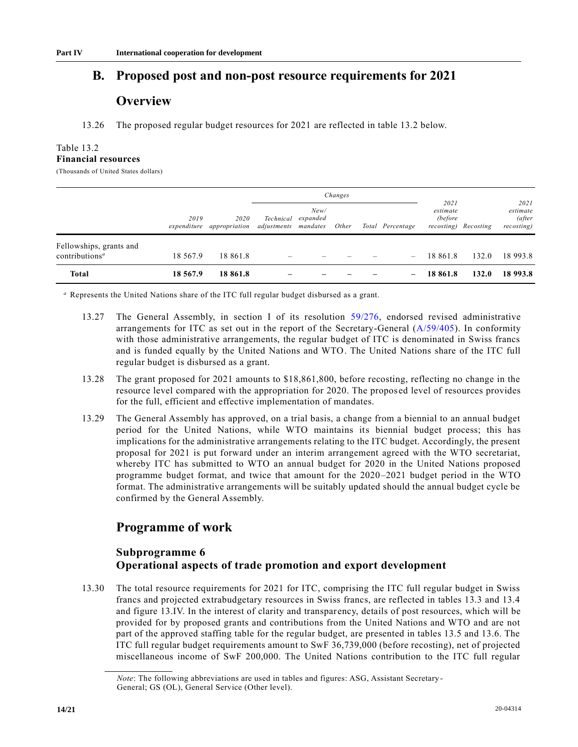# **B. Proposed post and non-post resource requirements for 2021**

# **Overview**

13.26 The proposed regular budget resources for 2021 are reflected in table 13.2 below.

# Table 13.2 **Financial resources**

(Thousands of United States dollars)

|                                                                    |            | Changes                           |                                   |                  |       |  |                          |                              |                      |                                          |
|--------------------------------------------------------------------|------------|-----------------------------------|-----------------------------------|------------------|-------|--|--------------------------|------------------------------|----------------------|------------------------------------------|
|                                                                    | 2019       | 2020<br>expenditure appropriation | Technical<br>adjustments mandates | New/<br>expanded | Other |  | Total Percentage         | 2021<br>estimate<br>(before) | recosting) Recosting | 2021<br>estimate<br>(after<br>recosting) |
| Fellowships, grants and<br>contributions <sup><math>a</math></sup> | 18 5 6 7.9 | 18 861.8                          | –                                 |                  |       |  | $\overline{\phantom{m}}$ | 18 861.8                     | 132.0                | 18 993.8                                 |
| <b>Total</b>                                                       | 18 567.9   | 18 861.8                          |                                   |                  |       |  |                          | 18 861.8                     | 132.0                | 18 993.8                                 |

*<sup>a</sup>* Represents the United Nations share of the ITC full regular budget disbursed as a grant.

- 13.27 The General Assembly, in section I of its resolution [59/276,](https://undocs.org/en/A/RES/59/276) endorsed revised administrative arrangements for ITC as set out in the report of the Secretary-General [\(A/59/405\)](https://undocs.org/en/A/59/405). In conformity with those administrative arrangements, the regular budget of ITC is denominated in Swiss francs and is funded equally by the United Nations and WTO. The United Nations share of the ITC full regular budget is disbursed as a grant.
- 13.28 The grant proposed for 2021 amounts to \$18,861,800, before recosting, reflecting no change in the resource level compared with the appropriation for 2020. The propos ed level of resources provides for the full, efficient and effective implementation of mandates.
- 13.29 The General Assembly has approved, on a trial basis, a change from a biennial to an annual budget period for the United Nations, while WTO maintains its biennial budget process; this has implications for the administrative arrangements relating to the ITC budget. Accordingly, the present proposal for 2021 is put forward under an interim arrangement agreed with the WTO secretariat, whereby ITC has submitted to WTO an annual budget for 2020 in the United Nations proposed programme budget format, and twice that amount for the 2020–2021 budget period in the WTO format. The administrative arrangements will be suitably updated should the annual budget cycle be confirmed by the General Assembly.

# **Programme of work**

# **Subprogramme 6 Operational aspects of trade promotion and export development**

13.30 The total resource requirements for 2021 for ITC, comprising the ITC full regular budget in Swiss francs and projected extrabudgetary resources in Swiss francs, are reflected in tables 13.3 and 13.4 and figure 13.IV. In the interest of clarity and transparency, details of post resources, which will be provided for by proposed grants and contributions from the United Nations and WTO and are not part of the approved staffing table for the regular budget, are presented in tables 13.5 and 13.6. The ITC full regular budget requirements amount to SwF 36,739,000 (before recosting), net of projected miscellaneous income of SwF 200,000. The United Nations contribution to the ITC full regular

*Note*: The following abbreviations are used in tables and figures: ASG, Assistant Secretary - General; GS (OL), General Service (Other level).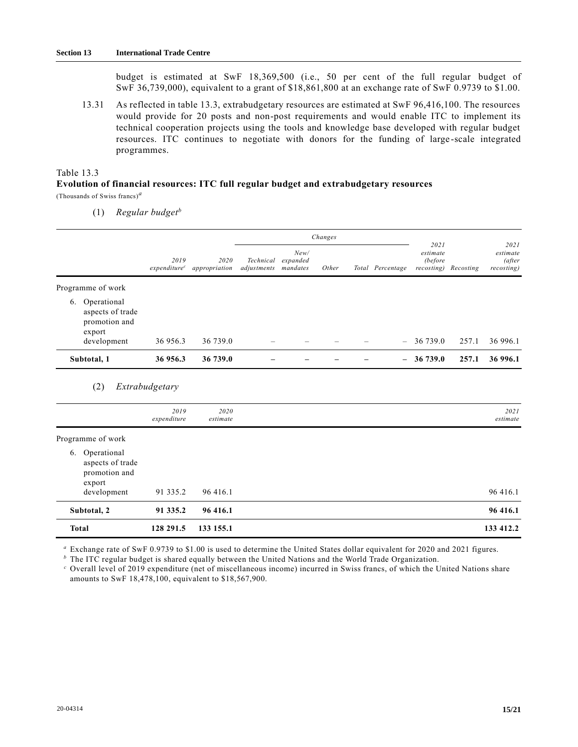budget is estimated at SwF 18,369,500 (i.e., 50 per cent of the full regular budget of SwF 36,739,000), equivalent to a grant of \$18,861,800 at an exchange rate of SwF 0.9739 to \$1.00.

13.31 As reflected in table 13.3, extrabudgetary resources are estimated at SwF 96,416,100. The resources would provide for 20 posts and non-post requirements and would enable ITC to implement its technical cooperation projects using the tools and knowledge base developed with regular budget resources. ITC continues to negotiate with donors for the funding of large -scale integrated programmes.

### Table 13.3

### **Evolution of financial resources: ITC full regular budget and extrabudgetary resources** (Thousands of Swiss francs)*<sup>a</sup>*

(1) *Regular budget<sup>b</sup>*

|    |                                                                           |                                  |                       |                          | Changes                      |       |  | 2021             |                                   | 2021      |                                         |
|----|---------------------------------------------------------------------------|----------------------------------|-----------------------|--------------------------|------------------------------|-------|--|------------------|-----------------------------------|-----------|-----------------------------------------|
|    |                                                                           | 2019<br>expenditure <sup>c</sup> | 2020<br>appropriation | Technical<br>adjustments | New/<br>expanded<br>mandates | Other |  | Total Percentage | estimate<br>(before<br>recosting) | Recosting | estimate<br><i>(after</i><br>recosting) |
|    | Programme of work                                                         |                                  |                       |                          |                              |       |  |                  |                                   |           |                                         |
| 6. | Operational<br>aspects of trade<br>promotion and<br>export<br>development | 36 956.3                         | 36 739.0              |                          |                              |       |  | $\sim$           | 36 739.0                          | 257.1     | 36 996.1                                |
|    | Subtotal, 1                                                               | 36 956.3                         | 36 739.0              |                          |                              |       |  | $-$              | 36 739.0                          | 257.1     | 36 996.1                                |

### (2) *Extrabudgetary*

|                                                                              | 2019<br>expenditure | 2020<br>estimate | 2021<br>estimate |
|------------------------------------------------------------------------------|---------------------|------------------|------------------|
| Programme of work                                                            |                     |                  |                  |
| 6. Operational<br>aspects of trade<br>promotion and<br>export<br>development | 91 335.2            | 96 416.1         | 96 416.1         |
| Subtotal, 2                                                                  | 91 335.2            | 96 416.1         | 96 416.1         |
| <b>Total</b>                                                                 | 128 291.5           | 133 155.1        | 133 412.2        |

*<sup>a</sup>* Exchange rate of SwF 0.9739 to \$1.00 is used to determine the United States dollar equivalent for 2020 and 2021 figures.

*<sup>b</sup>* The ITC regular budget is shared equally between the United Nations and the World Trade Organization.

*<sup>c</sup>* Overall level of 2019 expenditure (net of miscellaneous income) incurred in Swiss francs, of which the United Nations share amounts to SwF 18,478,100, equivalent to \$18,567,900.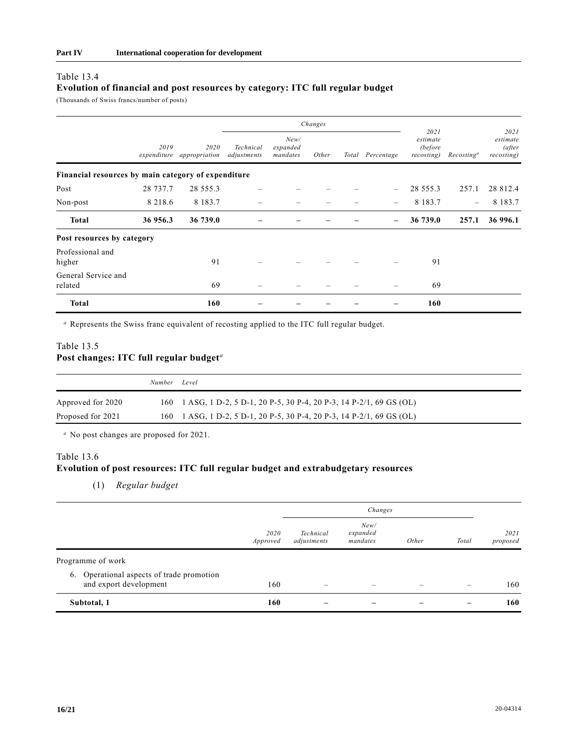# Table 13.4

# **Evolution of financial and post resources by category: ITC full regular budget**

(Thousands of Swiss francs/number of posts)

|                                                     |             |             | Changes                      |  |                          |                              |                          |             |                  | 2021                                      |                        |                                         |
|-----------------------------------------------------|-------------|-------------|------------------------------|--|--------------------------|------------------------------|--------------------------|-------------|------------------|-------------------------------------------|------------------------|-----------------------------------------|
|                                                     | 2019        |             | expenditure<br>appropriation |  | Technical<br>adjustments | New/<br>expanded<br>mandates | Other                    |             | Total Percentage | 2021<br>estimate<br>(before<br>recosting) | Recosting <sup>a</sup> | estimate<br><i>(after</i><br>recosting) |
| Financial resources by main category of expenditure |             |             |                              |  |                          |                              |                          |             |                  |                                           |                        |                                         |
| Post                                                | 28 737.7    | 28 555.3    |                              |  |                          |                              |                          | 28 555.3    | 257.1            | 28 812.4                                  |                        |                                         |
| Non-post                                            | 8 2 1 8 . 6 | 8 1 8 3 . 7 |                              |  |                          |                              |                          | 8 1 8 3 . 7 |                  | 8 1 8 3 . 7                               |                        |                                         |
| <b>Total</b>                                        | 36 956.3    | 36 739.0    |                              |  |                          |                              | $\overline{\phantom{0}}$ | 36 739.0    | 257.1            | 36 996.1                                  |                        |                                         |
| Post resources by category                          |             |             |                              |  |                          |                              |                          |             |                  |                                           |                        |                                         |
| Professional and<br>higher                          |             | 91          |                              |  |                          |                              |                          | 91          |                  |                                           |                        |                                         |
| General Service and<br>related                      |             | 69          |                              |  |                          |                              |                          | 69          |                  |                                           |                        |                                         |
| <b>Total</b>                                        |             | 160         |                              |  |                          |                              |                          | 160         |                  |                                           |                        |                                         |

*<sup>a</sup>* Represents the Swiss franc equivalent of recosting applied to the ITC full regular budget.

# Table 13.5 **Post changes: ITC full regular budget***<sup>a</sup>*

|                   | Number | Level                                                                 |
|-------------------|--------|-----------------------------------------------------------------------|
| Approved for 2020 |        | 160 1 ASG, 1 D-2, 5 D-1, 20 P-5, 30 P-4, 20 P-3, 14 P-2/1, 69 GS (OL) |
| Proposed for 2021 | 160    | 1 ASG, 1 D-2, 5 D-1, 20 P-5, 30 P-4, 20 P-3, 14 P-2/1, 69 GS (OL)     |

*<sup>a</sup>* No post changes are proposed for 2021.

# Table 13.6 **Evolution of post resources: ITC full regular budget and extrabudgetary resources**

(1) *Regular budget*

|                                                                     | 2020<br>Approved | Technical<br>adjustments | New/<br>expanded<br>mandates | Other | Total | 2021<br>proposed |
|---------------------------------------------------------------------|------------------|--------------------------|------------------------------|-------|-------|------------------|
| Programme of work                                                   |                  |                          |                              |       |       |                  |
| 6. Operational aspects of trade promotion<br>and export development | 160              |                          |                              |       |       | 160              |
| Subtotal, 1                                                         | 160              |                          |                              |       |       | 160              |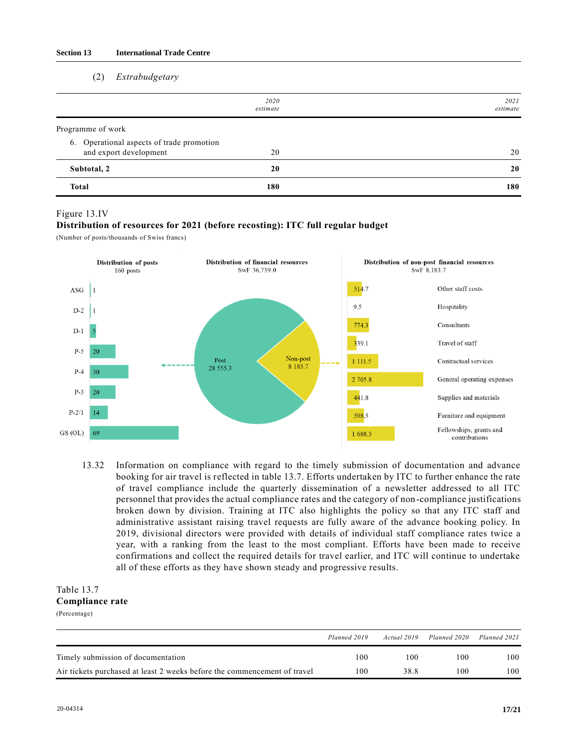### **Section 13 International Trade Centre**

#### (2) *Extrabudgetary*

|                                                                     | 2020<br>estimate | 2021<br>estimate |
|---------------------------------------------------------------------|------------------|------------------|
| Programme of work                                                   |                  |                  |
| 6. Operational aspects of trade promotion<br>and export development | 20               | 20               |
| Subtotal, 2                                                         | 20               | 20               |
| <b>Total</b>                                                        | 180              | 180              |

#### Figure 13.IV

#### **Distribution of resources for 2021 (before recosting): ITC full regular budget**

(Number of posts/thousands of Swiss francs)



13.32 Information on compliance with regard to the timely submission of documentation and advance booking for air travel is reflected in table 13.7. Efforts undertaken by ITC to further enhance the rate of travel compliance include the quarterly dissemination of a newsletter addressed to all ITC personnel that provides the actual compliance rates and the category of non-compliance justifications broken down by division. Training at ITC also highlights the policy so that any ITC staff and administrative assistant raising travel requests are fully aware of the advance booking policy. In 2019, divisional directors were provided with details of individual staff compliance rates twice a year, with a ranking from the least to the most compliant. Efforts have been made to receive confirmations and collect the required details for travel earlier, and ITC will continue to undertake all of these efforts as they have shown steady and progressive results.

### Table 13.7 **Compliance rate** (Percentage)

|                                                                          | Planned 2019 | Actual 2019 | Planned 2020 | Planned 2021 |
|--------------------------------------------------------------------------|--------------|-------------|--------------|--------------|
| Timely submission of documentation                                       | 100          | 100         | 100          | 100          |
| Air tickets purchased at least 2 weeks before the commencement of travel | 100.         | 38.8        | 100          | 100          |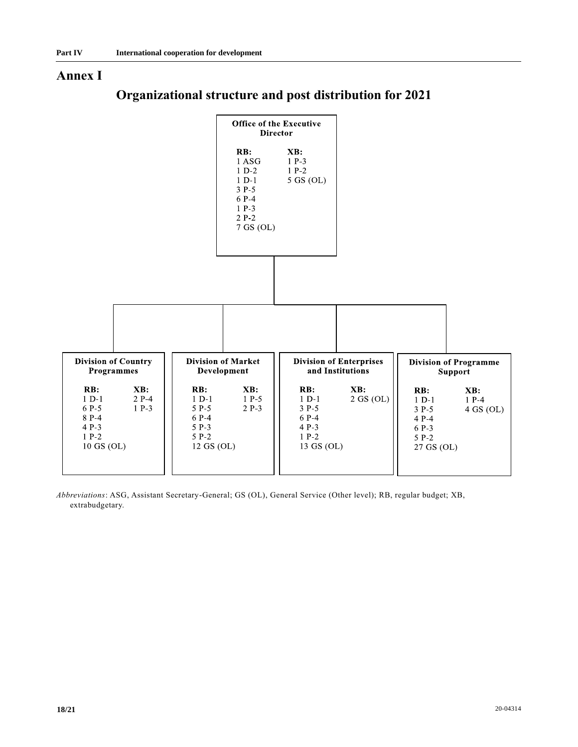# **Annex I**



# **Organizational structure and post distribution for 2021**

*Abbreviations*: ASG, Assistant Secretary-General; GS (OL), General Service (Other level); RB, regular budget; XB, extrabudgetary.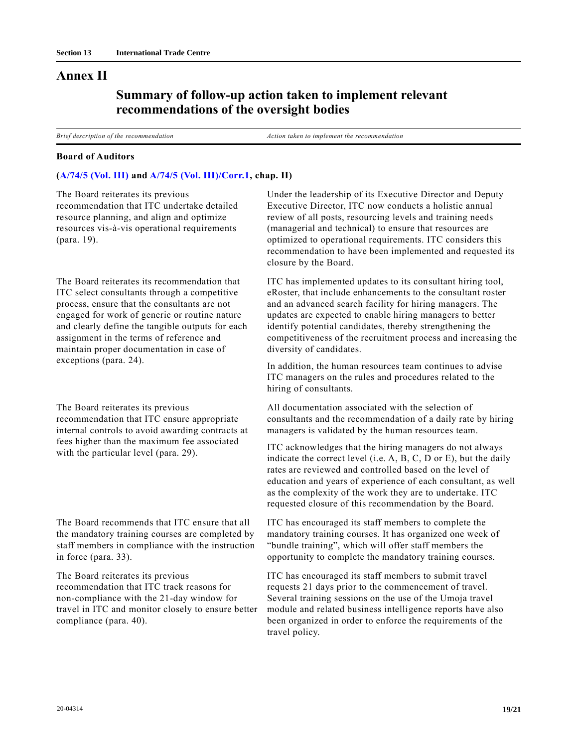# **Annex II**

# **Summary of follow-up action taken to implement relevant recommendations of the oversight bodies**

*Brief description of the recommendation Action taken to implement the recommendation*

#### **Board of Auditors**

### **[\(A/74/5 \(Vol. III\)](https://undocs.org/en/A/74/5(Vol.III)) an[d A/74/5 \(Vol. III\)/Corr.1,](https://undocs.org/en/A/74/5(Vol.III)/Corr.1) chap. II)**

The Board reiterates its previous recommendation that ITC undertake detailed resource planning, and align and optimize resources vis-à-vis operational requirements (para. 19).

The Board reiterates its recommendation that ITC select consultants through a competitive process, ensure that the consultants are not engaged for work of generic or routine nature and clearly define the tangible outputs for each assignment in the terms of reference and maintain proper documentation in case of exceptions (para. 24).

The Board reiterates its previous recommendation that ITC ensure appropriate internal controls to avoid awarding contracts at fees higher than the maximum fee associated with the particular level (para. 29).

The Board recommends that ITC ensure that all the mandatory training courses are completed by staff members in compliance with the instruction in force (para. 33).

The Board reiterates its previous recommendation that ITC track reasons for non-compliance with the 21-day window for travel in ITC and monitor closely to ensure better compliance (para. 40).

Under the leadership of its Executive Director and Deputy Executive Director, ITC now conducts a holistic annual review of all posts, resourcing levels and training needs (managerial and technical) to ensure that resources are optimized to operational requirements. ITC considers this recommendation to have been implemented and requested its closure by the Board.

ITC has implemented updates to its consultant hiring tool, eRoster, that include enhancements to the consultant roster and an advanced search facility for hiring managers. The updates are expected to enable hiring managers to better identify potential candidates, thereby strengthening the competitiveness of the recruitment process and increasing the diversity of candidates.

In addition, the human resources team continues to advise ITC managers on the rules and procedures related to the hiring of consultants.

All documentation associated with the selection of consultants and the recommendation of a daily rate by hiring managers is validated by the human resources team.

ITC acknowledges that the hiring managers do not always indicate the correct level (i.e. A, B, C, D or E), but the daily rates are reviewed and controlled based on the level of education and years of experience of each consultant, as well as the complexity of the work they are to undertake. ITC requested closure of this recommendation by the Board.

ITC has encouraged its staff members to complete the mandatory training courses. It has organized one week of "bundle training", which will offer staff members the opportunity to complete the mandatory training courses.

ITC has encouraged its staff members to submit travel requests 21 days prior to the commencement of travel. Several training sessions on the use of the Umoja travel module and related business intelligence reports have also been organized in order to enforce the requirements of the travel policy.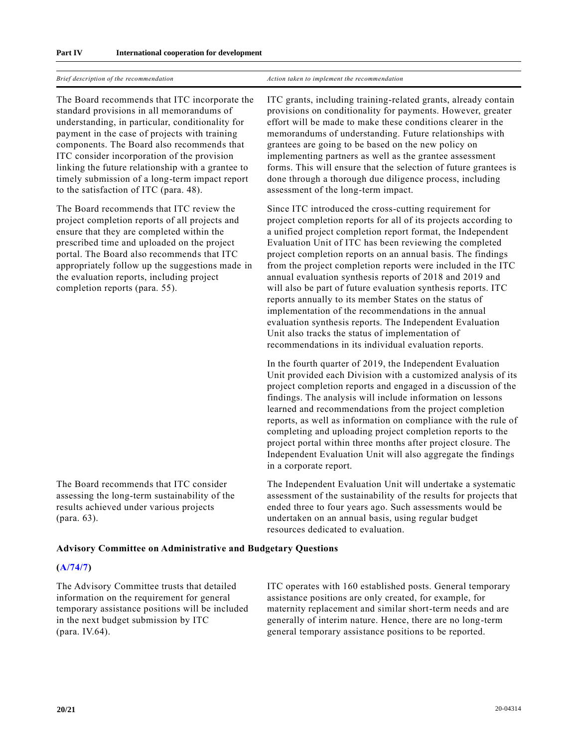| Brief description of the recommendation                                                                                                                                                                                                                                                                                                                                                                                                       | Action taken to implement the recommendation                                                                                                                                                                                                                                                                                                                                                                                                                                                                                                                                                                                                                                                                                                                                                              |
|-----------------------------------------------------------------------------------------------------------------------------------------------------------------------------------------------------------------------------------------------------------------------------------------------------------------------------------------------------------------------------------------------------------------------------------------------|-----------------------------------------------------------------------------------------------------------------------------------------------------------------------------------------------------------------------------------------------------------------------------------------------------------------------------------------------------------------------------------------------------------------------------------------------------------------------------------------------------------------------------------------------------------------------------------------------------------------------------------------------------------------------------------------------------------------------------------------------------------------------------------------------------------|
| The Board recommends that ITC incorporate the<br>standard provisions in all memorandums of<br>understanding, in particular, conditionality for<br>payment in the case of projects with training<br>components. The Board also recommends that<br>ITC consider incorporation of the provision<br>linking the future relationship with a grantee to<br>timely submission of a long-term impact report<br>to the satisfaction of ITC (para. 48). | ITC grants, including training-related grants, already contain<br>provisions on conditionality for payments. However, greater<br>effort will be made to make these conditions clearer in the<br>memorandums of understanding. Future relationships with<br>grantees are going to be based on the new policy on<br>implementing partners as well as the grantee assessment<br>forms. This will ensure that the selection of future grantees is<br>done through a thorough due diligence process, including<br>assessment of the long-term impact.                                                                                                                                                                                                                                                          |
| The Board recommends that ITC review the<br>project completion reports of all projects and<br>ensure that they are completed within the<br>prescribed time and uploaded on the project<br>portal. The Board also recommends that ITC<br>appropriately follow up the suggestions made in<br>the evaluation reports, including project<br>completion reports (para. 55).                                                                        | Since ITC introduced the cross-cutting requirement for<br>project completion reports for all of its projects according to<br>a unified project completion report format, the Independent<br>Evaluation Unit of ITC has been reviewing the completed<br>project completion reports on an annual basis. The findings<br>from the project completion reports were included in the ITC<br>annual evaluation synthesis reports of 2018 and 2019 and<br>will also be part of future evaluation synthesis reports. ITC<br>reports annually to its member States on the status of<br>implementation of the recommendations in the annual<br>evaluation synthesis reports. The Independent Evaluation<br>Unit also tracks the status of implementation of<br>recommendations in its individual evaluation reports. |
|                                                                                                                                                                                                                                                                                                                                                                                                                                               | In the fourth quarter of 2019, the Independent Evaluation<br>Unit provided each Division with a customized analysis of its<br>project completion reports and engaged in a discussion of the<br>findings. The analysis will include information on lessons<br>learned and recommendations from the project completion<br>reports, as well as information on compliance with the rule of<br>completing and uploading project completion reports to the<br>project portal within three months after project closure. The<br>Independent Evaluation Unit will also aggregate the findings<br>in a corporate report.                                                                                                                                                                                           |
| The Board recommends that ITC consider<br>assessing the long-term sustainability of the<br>results achieved under various projects<br>(para. 63).                                                                                                                                                                                                                                                                                             | The Independent Evaluation Unit will undertake a systematic<br>assessment of the sustainability of the results for projects that<br>ended three to four years ago. Such assessments would be<br>undertaken on an annual basis, using regular budget                                                                                                                                                                                                                                                                                                                                                                                                                                                                                                                                                       |

## **Advisory Committee on Administrative and Budgetary Questions**

## **[\(A/74/7\)](https://undocs.org/en/A/74/7)**

The Advisory Committee trusts that detailed information on the requirement for general temporary assistance positions will be included in the next budget submission by ITC (para. IV.64).

ITC operates with 160 established posts. General temporary assistance positions are only created, for example, for maternity replacement and similar short-term needs and are generally of interim nature. Hence, there are no long-term general temporary assistance positions to be reported.

resources dedicated to evaluation.